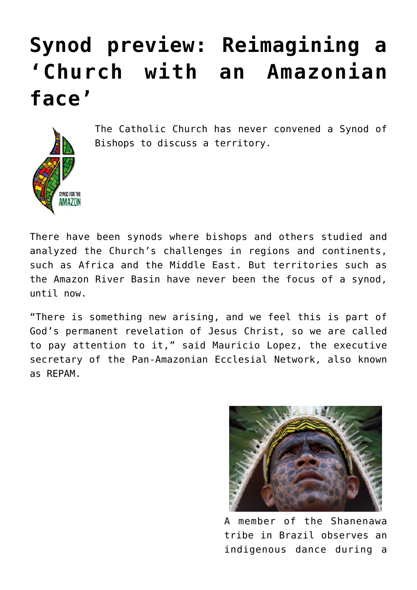# **[Synod preview: Reimagining a](https://www.osvnews.com/2019/10/03/synod-preview-reimagining-a-church-with-an-amazonian-face/) ['Church with an Amazonian](https://www.osvnews.com/2019/10/03/synod-preview-reimagining-a-church-with-an-amazonian-face/) [face'](https://www.osvnews.com/2019/10/03/synod-preview-reimagining-a-church-with-an-amazonian-face/)**



The Catholic Church has never convened a Synod of Bishops to discuss a territory.

There have been synods where bishops and others studied and analyzed the Church's challenges in regions and continents, such as Africa and the Middle East. But territories such as the Amazon River Basin have never been the focus of a synod, until now.

"There is something new arising, and we feel this is part of God's permanent revelation of Jesus Christ, so we are called to pay attention to it," said Mauricio Lopez, the executive secretary of the Pan-Amazonian Ecclesial Network, also known as REPAM.



A member of the Shanenawa tribe in Brazil observes an indigenous dance during a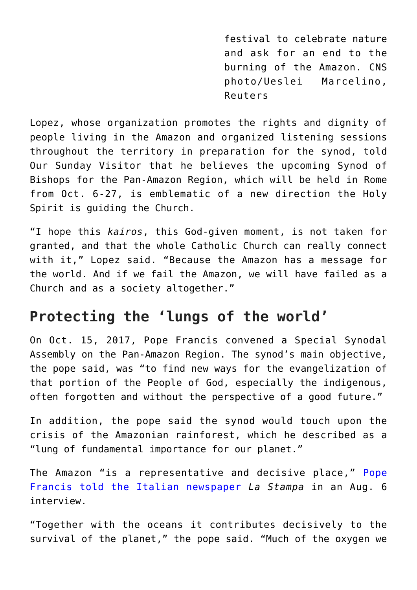festival to celebrate nature and ask for an end to the burning of the Amazon. CNS photo/Ueslei Marcelino, Reuters

Lopez, whose organization promotes the rights and dignity of people living in the Amazon and organized listening sessions throughout the territory in preparation for the synod, told Our Sunday Visitor that he believes the upcoming Synod of Bishops for the Pan-Amazon Region, which will be held in Rome from Oct. 6-27, is emblematic of a new direction the Holy Spirit is guiding the Church.

"I hope this *kairos*, this God-given moment, is not taken for granted, and that the whole Catholic Church can really connect with it," Lopez said. "Because the Amazon has a message for the world. And if we fail the Amazon, we will have failed as a Church and as a society altogether."

### **Protecting the 'lungs of the world'**

On Oct. 15, 2017, Pope Francis convened a Special Synodal Assembly on the Pan-Amazon Region. The synod's main objective, the pope said, was "to find new ways for the evangelization of that portion of the People of God, especially the indigenous, often forgotten and without the perspective of a good future."

In addition, the pope said the synod would touch upon the crisis of the Amazonian rainforest, which he described as a "lung of fundamental importance for our planet."

The Amazon "is a representative and decisive place," [Pope](https://osvnews.com/2019/08/09/in-new-interview-pope-explains-aim-of-synod-warns-against-nationalism/) [Francis told the Italian newspaper](https://osvnews.com/2019/08/09/in-new-interview-pope-explains-aim-of-synod-warns-against-nationalism/) *La Stampa* in an Aug. 6 interview.

"Together with the oceans it contributes decisively to the survival of the planet," the pope said. "Much of the oxygen we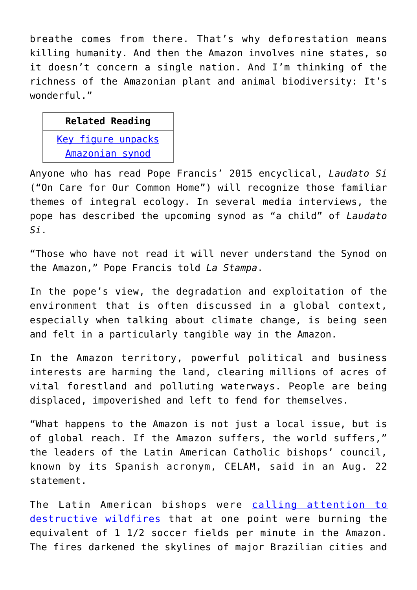breathe comes from there. That's why deforestation means killing humanity. And then the Amazon involves nine states, so it doesn't concern a single nation. And I'm thinking of the richness of the Amazonian plant and animal biodiversity: It's wonderful."

### **Related Reading**

[Key figure unpacks](https://www.osvnews.com/2019/09/23/key-figure-unpacks-amazonian-synod/) [Amazonian synod](https://www.osvnews.com/2019/09/23/key-figure-unpacks-amazonian-synod/)

Anyone who has read Pope Francis' 2015 encyclical, *Laudato Si* ("On Care for Our Common Home") will recognize those familiar themes of integral ecology. In several media interviews, the pope has described the upcoming synod as "a child" of *Laudato Si*.

"Those who have not read it will never understand the Synod on the Amazon," Pope Francis told *La Stampa*.

In the pope's view, the degradation and exploitation of the environment that is often discussed in a global context, especially when talking about climate change, is being seen and felt in a particularly tangible way in the Amazon.

In the Amazon territory, powerful political and business interests are harming the land, clearing millions of acres of vital forestland and polluting waterways. People are being displaced, impoverished and left to fend for themselves.

"What happens to the Amazon is not just a local issue, but is of global reach. If the Amazon suffers, the world suffers," the leaders of the Latin American Catholic bishops' council, known by its Spanish acronym, CELAM, said in an Aug. 22 statement.

The Latin American bishops were [calling attention to](https://osvnews.com/2019/08/26/pope-bishops-urge-action-to-save-burning-amazon-rainforest/) [destructive wildfires](https://osvnews.com/2019/08/26/pope-bishops-urge-action-to-save-burning-amazon-rainforest/) that at one point were burning the equivalent of 1 1/2 soccer fields per minute in the Amazon. The fires darkened the skylines of major Brazilian cities and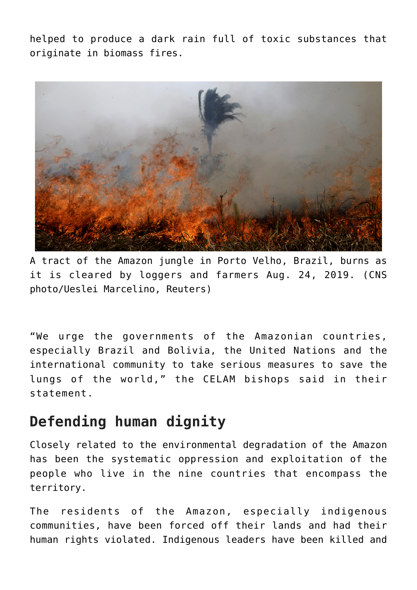helped to produce a dark rain full of toxic substances that originate in biomass fires.



A tract of the Amazon jungle in Porto Velho, Brazil, burns as it is cleared by loggers and farmers Aug. 24, 2019. (CNS photo/Ueslei Marcelino, Reuters)

"We urge the governments of the Amazonian countries, especially Brazil and Bolivia, the United Nations and the international community to take serious measures to save the lungs of the world," the CELAM bishops said in their statement.

### **Defending human dignity**

Closely related to the environmental degradation of the Amazon has been the systematic oppression and exploitation of the people who live in the nine countries that encompass the territory.

The residents of the Amazon, especially indigenous communities, have been forced off their lands and had their human rights violated. Indigenous leaders have been killed and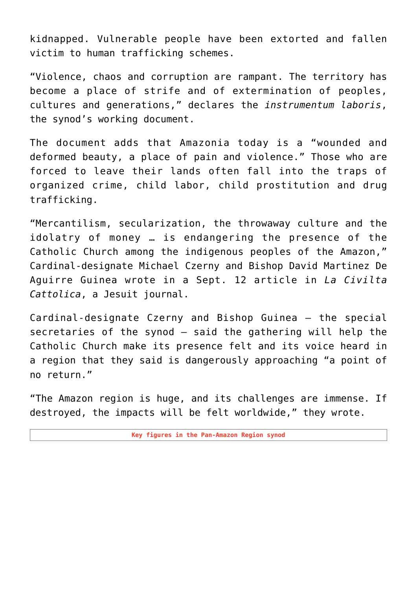kidnapped. Vulnerable people have been extorted and fallen victim to human trafficking schemes.

"Violence, chaos and corruption are rampant. The territory has become a place of strife and of extermination of peoples, cultures and generations," declares the *instrumentum laboris*, the synod's working document.

The document adds that Amazonia today is a "wounded and deformed beauty, a place of pain and violence." Those who are forced to leave their lands often fall into the traps of organized crime, child labor, child prostitution and drug trafficking.

"Mercantilism, secularization, the throwaway culture and the idolatry of money … is endangering the presence of the Catholic Church among the indigenous peoples of the Amazon," Cardinal-designate Michael Czerny and Bishop David Martinez De Aguirre Guinea wrote in a Sept. 12 article in *La Civilta Cattolica*, a Jesuit journal.

Cardinal-designate Czerny and Bishop Guinea — the special secretaries of the synod — said the gathering will help the Catholic Church make its presence felt and its voice heard in a region that they said is dangerously approaching "a point of no return."

"The Amazon region is huge, and its challenges are immense. If destroyed, the impacts will be felt worldwide," they wrote.

**Key figures in the Pan-Amazon Region synod**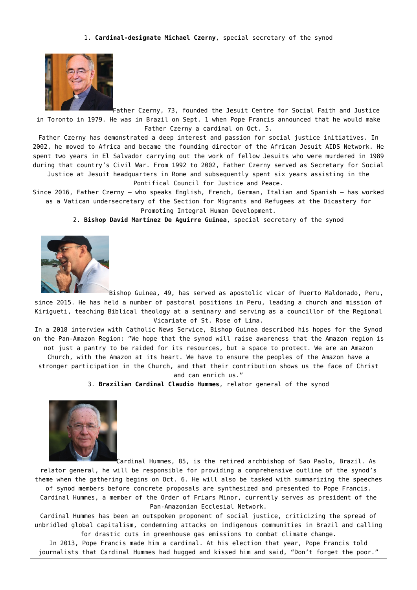#### 1. **Cardinal-designate Michael Czerny**, special secretary of the synod



Father Czerny, 73, founded the Jesuit Centre for Social Faith and Justice in Toronto in 1979. He was in Brazil on Sept. 1 when Pope Francis announced that he would make Father Czerny a cardinal on Oct. 5.

Father Czerny has demonstrated a deep interest and passion for social justice initiatives. In 2002, he moved to Africa and became the founding director of the African Jesuit AIDS Network. He spent two years in El Salvador carrying out the work of fellow Jesuits who were murdered in 1989 during that country's Civil War. From 1992 to 2002, Father Czerny served as Secretary for Social Justice at Jesuit headquarters in Rome and subsequently spent six years assisting in the

Pontifical Council for Justice and Peace.

Since 2016, Father Czerny — who speaks English, French, German, Italian and Spanish — has worked as a Vatican undersecretary of the Section for Migrants and Refugees at the Dicastery for Promoting Integral Human Development.

2. **Bishop David Martínez De Aguirre Guinea**, special secretary of the synod



Bishop Guinea, 49, has served as apostolic vicar of Puerto Maldonado, Peru, since 2015. He has held a number of pastoral positions in Peru, leading a church and mission of Kirigueti, teaching Biblical theology at a seminary and serving as a councillor of the Regional Vicariate of St. Rose of Lima.

In a 2018 interview with Catholic News Service, Bishop Guinea described his hopes for the Synod on the Pan-Amazon Region: "We hope that the synod will raise awareness that the Amazon region is not just a pantry to be raided for its resources, but a space to protect. We are an Amazon Church, with the Amazon at its heart. We have to ensure the peoples of the Amazon have a stronger participation in the Church, and that their contribution shows us the face of Christ

and can enrich us."

3. **Brazilian Cardinal Claudio Hummes**, relator general of the synod



Cardinal Hummes, 85, is the retired archbishop of Sao Paolo, Brazil. As relator general, he will be responsible for providing a comprehensive outline of the synod's theme when the gathering begins on Oct. 6. He will also be tasked with summarizing the speeches of synod members before concrete proposals are synthesized and presented to Pope Francis. Cardinal Hummes, a member of the Order of Friars Minor, currently serves as president of the Pan-Amazonian Ecclesial Network.

Cardinal Hummes has been an outspoken proponent of social justice, criticizing the spread of unbridled global capitalism, condemning attacks on indigenous communities in Brazil and calling for drastic cuts in greenhouse gas emissions to combat climate change.

In 2013, Pope Francis made him a cardinal. At his election that year, Pope Francis told journalists that Cardinal Hummes had hugged and kissed him and said, "Don't forget the poor."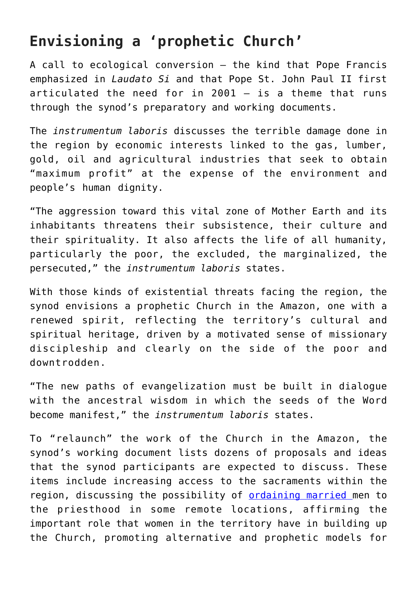# **Envisioning a 'prophetic Church'**

A call to ecological conversion — the kind that Pope Francis emphasized in *Laudato Si* and that Pope St. John Paul II first articulated the need for in 2001 — is a theme that runs through the synod's preparatory and working documents.

The *instrumentum laboris* discusses the terrible damage done in the region by economic interests linked to the gas, lumber, gold, oil and agricultural industries that seek to obtain "maximum profit" at the expense of the environment and people's human dignity.

"The aggression toward this vital zone of Mother Earth and its inhabitants threatens their subsistence, their culture and their spirituality. It also affects the life of all humanity, particularly the poor, the excluded, the marginalized, the persecuted," the *instrumentum laboris* states.

With those kinds of existential threats facing the region, the synod envisions a prophetic Church in the Amazon, one with a renewed spirit, reflecting the territory's cultural and spiritual heritage, driven by a motivated sense of missionary discipleship and clearly on the side of the poor and downtrodden.

"The new paths of evangelization must be built in dialogue with the ancestral wisdom in which the seeds of the Word become manifest," the *instrumentum laboris* states.

To "relaunch" the work of the Church in the Amazon, the synod's working document lists dozens of proposals and ideas that the synod participants are expected to discuss. These items include increasing access to the sacraments within the region, discussing the possibility of **ordaining married** men to the priesthood in some remote locations, affirming the important role that women in the territory have in building up the Church, promoting alternative and prophetic models for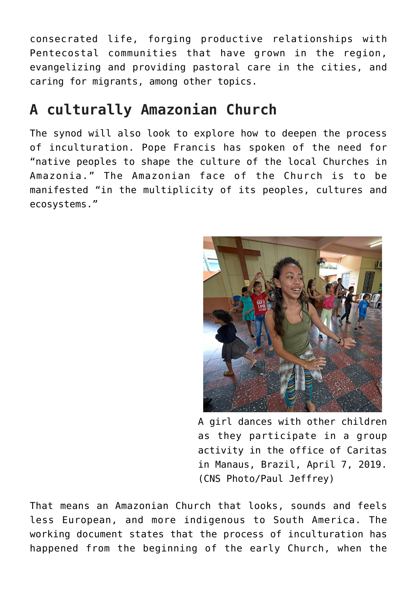consecrated life, forging productive relationships with Pentecostal communities that have grown in the region, evangelizing and providing pastoral care in the cities, and caring for migrants, among other topics.

## **A culturally Amazonian Church**

The synod will also look to explore how to deepen the process of inculturation. Pope Francis has spoken of the need for "native peoples to shape the culture of the local Churches in Amazonia." The Amazonian face of the Church is to be manifested "in the multiplicity of its peoples, cultures and ecosystems."



A girl dances with other children as they participate in a group activity in the office of Caritas in Manaus, Brazil, April 7, 2019. (CNS Photo/Paul Jeffrey)

That means an Amazonian Church that looks, sounds and feels less European, and more indigenous to South America. The working document states that the process of inculturation has happened from the beginning of the early Church, when the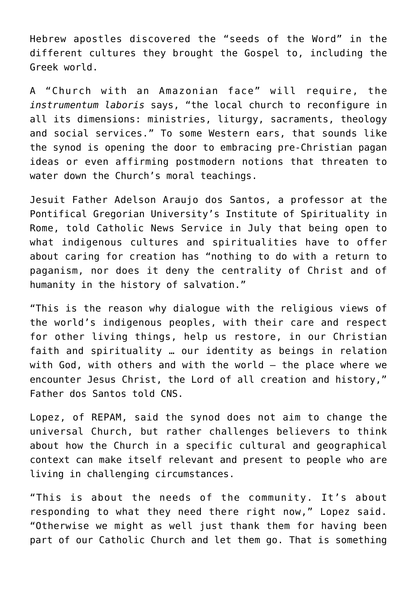Hebrew apostles discovered the "seeds of the Word" in the different cultures they brought the Gospel to, including the Greek world.

A "Church with an Amazonian face" will require, the *instrumentum laboris* says, "the local church to reconfigure in all its dimensions: ministries, liturgy, sacraments, theology and social services." To some Western ears, that sounds like the synod is opening the door to embracing pre-Christian pagan ideas or even affirming postmodern notions that threaten to water down the Church's moral teachings.

Jesuit Father Adelson Araujo dos Santos, a professor at the Pontifical Gregorian University's Institute of Spirituality in Rome, told Catholic News Service in July that being open to what indigenous cultures and spiritualities have to offer about caring for creation has "nothing to do with a return to paganism, nor does it deny the centrality of Christ and of humanity in the history of salvation."

"This is the reason why dialogue with the religious views of the world's indigenous peoples, with their care and respect for other living things, help us restore, in our Christian faith and spirituality … our identity as beings in relation with God, with others and with the world — the place where we encounter Jesus Christ, the Lord of all creation and history," Father dos Santos told CNS.

Lopez, of REPAM, said the synod does not aim to change the universal Church, but rather challenges believers to think about how the Church in a specific cultural and geographical context can make itself relevant and present to people who are living in challenging circumstances.

"This is about the needs of the community. It's about responding to what they need there right now," Lopez said. "Otherwise we might as well just thank them for having been part of our Catholic Church and let them go. That is something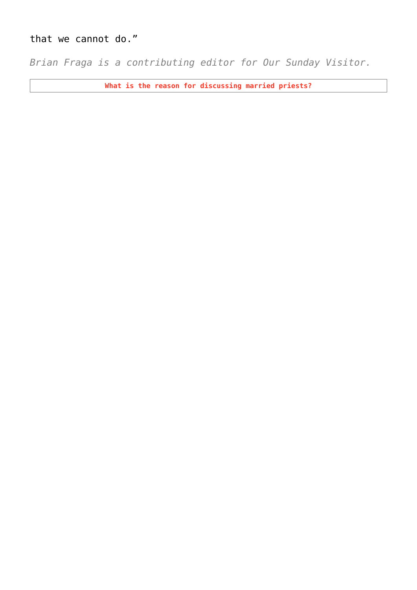### that we cannot do."

*Brian Fraga is a contributing editor for Our Sunday Visitor.*

**What is the reason for discussing married priests?**